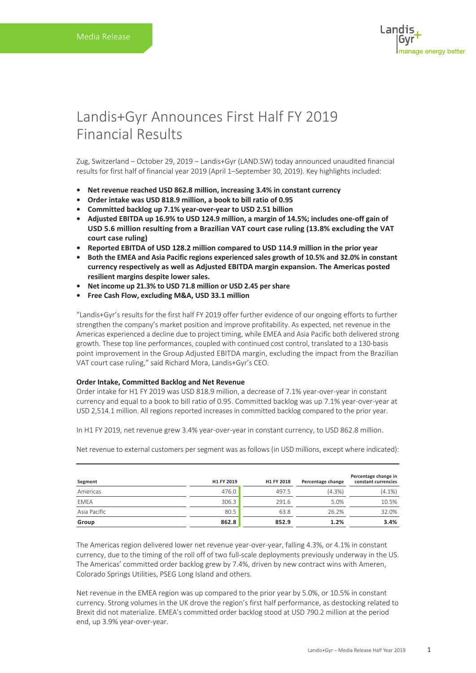### Landis+Gyr Announces First Half FY 2019 Financial Results

Zug, Switzerland – October 29, 2019 – Landis+Gyr (LAND.SW) today announced unaudited financial results for first half of financial year 2019 (April 1–September 30, 2019). Key highlights included:

- **• Net revenue reached USD 862.8 million, increasing 3.4% in constant currency**
- **• Order intake was USD 818.9 million, a book to bill ratio of 0.95**
- **• Committed backlog up 7.1% year-over-year to USD 2.51 billion**
- **• Adjusted EBITDA up 16.9% to USD 124.9 million, a margin of 14.5%; includes one-off gain of USD 5.6 million resulting from a Brazilian VAT court case ruling (13.8% excluding the VAT court case ruling)**
- **• Reported EBITDA of USD 128.2 million compared to USD 114.9 million in the prior year**
- **• Both the EMEA and Asia Pacific regions experienced sales growth of 10.5% and 32.0% in constant currency respectively as well as Adjusted EBITDA margin expansion. The Americas posted resilient margins despite lower sales.**
- **• Net income up 21.3% to USD 71.8 million or USD 2.45 per share**
- **• Free Cash Flow, excluding M&A, USD 33.1 million**

"Landis+Gyr's results for the first half FY 2019 offer further evidence of our ongoing efforts to further strengthen the company's market position and improve profitability. As expected, net revenue in the Americas experienced a decline due to project timing, while EMEA and Asia Pacific both delivered strong growth. These top line performances, coupled with continued cost control, translated to a 130-basis point improvement in the Group Adjusted EBITDA margin, excluding the impact from the Brazilian VAT court case ruling," said Richard Mora, Landis+Gyr's CEO.

#### **Order Intake, Committed Backlog and Net Revenue**

Order intake for H1 FY 2019 was USD 818.9 million, a decrease of 7.1% year-over-year in constant currency and equal to a book to bill ratio of 0.95. Committed backlog was up 7.1% year-over-year at USD 2,514.1 million. All regions reported increases in committed backlog compared to the prior year.

In H1 FY 2019, net revenue grew 3.4% year-over-year in constant currency, to USD 862.8 million.

| Segment      | H1 FY 2019 | H1 FY 2018 | Percentage change | Percentage change in<br>constant currencies |
|--------------|------------|------------|-------------------|---------------------------------------------|
| Americas     | 476.0      | 497.5      | $(4.3\%)$         | $(4.1\%)$                                   |
| <b>EMEA</b>  | 306.3      | 291.6      | 5.0%              | 10.5%                                       |
| Asia Pacific | 80.5       | 63.8       | 26.2%             | 32.0%                                       |
| Group        | 862.8      | 852.9      | 1.2%              | 3.4%                                        |

Net revenue to external customers per segment was as follows (in USD millions, except where indicated):

The Americas region delivered lower net revenue year-over-year, falling 4.3%, or 4.1% in constant currency, due to the timing of the roll off of two full-scale deployments previously underway in the US. The Americas' committed order backlog grew by 7.4%, driven by new contract wins with Ameren, Colorado Springs Utilities, PSEG Long Island and others.

Net revenue in the EMEA region was up compared to the prior year by 5.0%, or 10.5% in constant currency. Strong volumes in the UK drove the region's first half performance, as destocking related to Brexit did not materialize. EMEA's committed order backlog stood at USD 790.2 million at the period end, up 3.9% year-over-year.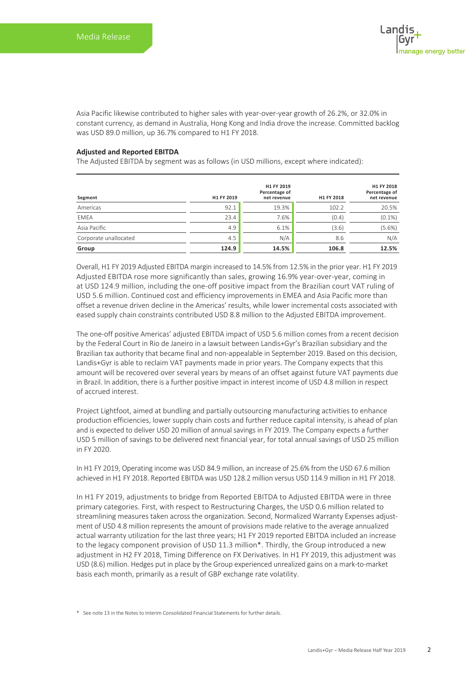Asia Pacific likewise contributed to higher sales with year-over-year growth of 26.2%, or 32.0% in constant currency, as demand in Australia, Hong Kong and India drove the increase. Committed backlog was USD 89.0 million, up 36.7% compared to H1 FY 2018.

#### **Adjusted and Reported EBITDA**

The Adjusted EBITDA by segment was as follows (in USD millions, except where indicated):

| Segment               | H1 FY 2019 | H1 FY 2019<br>Percentage of<br>net revenue | H1 FY 2018 | H1 FY 2018<br>Percentage of<br>net revenue |
|-----------------------|------------|--------------------------------------------|------------|--------------------------------------------|
| Americas              | 92.1       | 19.3%                                      | 102.2      | 20.5%                                      |
| <b>EMEA</b>           | 23.4       | 7.6%                                       | (0.4)      | $(0.1\%)$                                  |
| Asia Pacific          | 4.9        | 6.1%                                       | (3.6)      | (5.6%)                                     |
| Corporate unallocated | 4.5        | N/A                                        | 8.6        | N/A                                        |
| Group                 | 124.9      | 14.5%                                      | 106.8      | 12.5%                                      |

Overall, H1 FY 2019 Adjusted EBITDA margin increased to 14.5% from 12.5% in the prior year. H1 FY 2019 Adjusted EBITDA rose more significantly than sales, growing 16.9% year-over-year, coming in at USD 124.9 million, including the one-off positive impact from the Brazilian court VAT ruling of USD 5.6 million. Continued cost and efficiency improvements in EMEA and Asia Pacific more than offset a revenue driven decline in the Americas' results, while lower incremental costs associated with eased supply chain constraints contributed USD 8.8 million to the Adjusted EBITDA improvement.

The one-off positive Americas' adjusted EBITDA impact of USD 5.6 million comes from a recent decision by the Federal Court in Rio de Janeiro in a lawsuit between Landis+Gyr's Brazilian subsidiary and the Brazilian tax authority that became final and non-appealable in September 2019. Based on this decision, Landis+Gyr is able to reclaim VAT payments made in prior years. The Company expects that this amount will be recovered over several years by means of an offset against future VAT payments due in Brazil. In addition, there is a further positive impact in interest income of USD 4.8 million in respect of accrued interest.

Project Lightfoot, aimed at bundling and partially outsourcing manufacturing activities to enhance production efficiencies, lower supply chain costs and further reduce capital intensity, is ahead of plan and is expected to deliver USD 20 million of annual savings in FY 2019. The Company expects a further USD 5 million of savings to be delivered next financial year, for total annual savings of USD 25 million in FY 2020.

In H1 FY 2019, Operating income was USD 84.9 million, an increase of 25.6% from the USD 67.6 million achieved in H1 FY 2018. Reported EBITDA was USD 128.2 million versus USD 114.9 million in H1 FY 2018.

In H1 FY 2019, adjustments to bridge from Reported EBITDA to Adjusted EBITDA were in three primary categories. First, with respect to Restructuring Charges, the USD 0.6 million related to streamlining measures taken across the organization. Second, Normalized Warranty Expenses adjustment of USD 4.8 million represents the amount of provisions made relative to the average annualized actual warranty utilization for the last three years; H1 FY 2019 reported EBITDA included an increase to the legacy component provision of USD 11.3 million\*. Thirdly, the Group introduced a new adjustment in H2 FY 2018, Timing Difference on FX Derivatives. In H1 FY 2019, this adjustment was USD (8.6) million. Hedges put in place by the Group experienced unrealized gains on a mark-to-market basis each month, primarily as a result of GBP exchange rate volatility.

\* See note 13 in the Notes to Interim Consolidated Financial Statements for further details.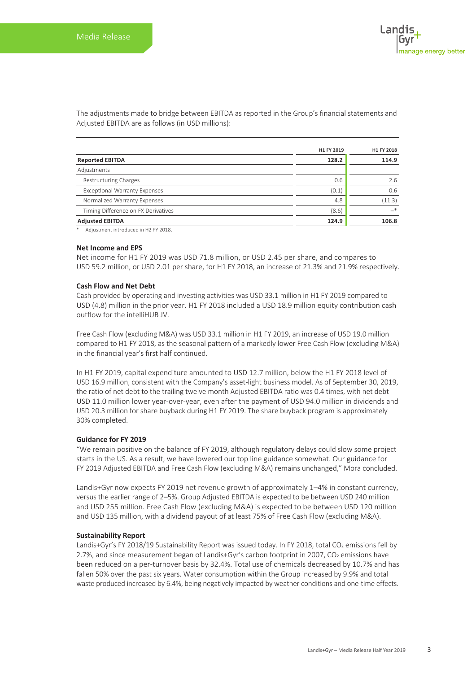The adjustments made to bridge between EBITDA as reported in the Group's financial statements and Adjusted EBITDA are as follows (in USD millions):

|                                      | H1 FY 2019 | H1 FY 2018 |
|--------------------------------------|------------|------------|
| <b>Reported EBITDA</b>               | 128.2      | 114.9      |
| Adjustments                          |            |            |
| Restructuring Charges                | 0.6        | 2.6        |
| <b>Exceptional Warranty Expenses</b> | (0.1)      | 0.6        |
| Normalized Warranty Expenses         | 4.8        | (11.3)     |
| Timing Difference on FX Derivatives  | (8.6)      | $-*$       |
| <b>Adjusted EBITDA</b>               | 124.9      | 106.8      |

\* Adjustment introduced in H2 FY 2018.

#### **Net Income and EPS**

Net income for H1 FY 2019 was USD 71.8 million, or USD 2.45 per share, and compares to USD 59.2 million, or USD 2.01 per share, for H1 FY 2018, an increase of 21.3% and 21.9% respectively.

#### **Cash Flow and Net Debt**

Cash provided by operating and investing activities was USD 33.1 million in H1 FY 2019 compared to USD (4.8) million in the prior year. H1 FY 2018 included a USD 18.9 million equity contribution cash outflow for the intelliHUB JV.

Free Cash Flow (excluding M&A) was USD 33.1 million in H1 FY 2019, an increase of USD 19.0 million compared to H1 FY 2018, as the seasonal pattern of a markedly lower Free Cash Flow (excluding M&A) in the financial year's first half continued.

In H1 FY 2019, capital expenditure amounted to USD 12.7 million, below the H1 FY 2018 level of USD 16.9 million, consistent with the Company's asset-light business model. As of September 30, 2019, the ratio of net debt to the trailing twelve month Adjusted EBITDA ratio was 0.4 times, with net debt USD 11.0 million lower year-over-year, even after the payment of USD 94.0 million in dividends and USD 20.3 million for share buyback during H1 FY 2019. The share buyback program is approximately 30% completed.

#### **Guidance for FY 2019**

"We remain positive on the balance of FY 2019, although regulatory delays could slow some project starts in the US. As a result, we have lowered our top line guidance somewhat. Our guidance for FY 2019 Adjusted EBITDA and Free Cash Flow (excluding M&A) remains unchanged," Mora concluded.

Landis+Gyr now expects FY 2019 net revenue growth of approximately 1–4% in constant currency, versus the earlier range of 2–5%. Group Adjusted EBITDA is expected to be between USD 240 million and USD 255 million. Free Cash Flow (excluding M&A) is expected to be between USD 120 million and USD 135 million, with a dividend payout of at least 75% of Free Cash Flow (excluding M&A).

#### **Sustainability Report**

Landis+Gyr's FY 2018/19 Sustainability Report was issued today. In FY 2018, total CO2 emissions fell by 2.7%, and since measurement began of Landis+Gyr's carbon footprint in 2007, CO2 emissions have been reduced on a per-turnover basis by 32.4%. Total use of chemicals decreased by 10.7% and has fallen 50% over the past six years. Water consumption within the Group increased by 9.9% and total waste produced increased by 6.4%, being negatively impacted by weather conditions and one-time effects.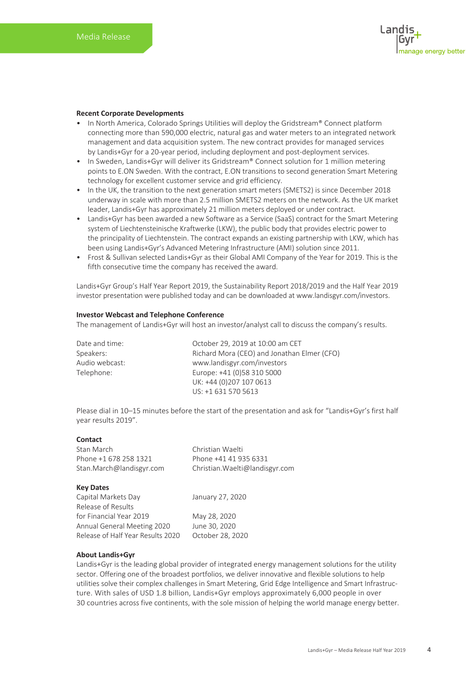#### **Recent Corporate Developments**

- In North America, Colorado Springs Utilities will deploy the Gridstream® Connect platform connecting more than 590,000 electric, natural gas and water meters to an integrated network management and data acquisition system. The new contract provides for managed services by Landis+Gyr for a 20-year period, including deployment and post-deployment services.
- In Sweden, Landis+Gyr will deliver its Gridstream® Connect solution for 1 million metering points to E.ON Sweden. With the contract, E.ON transitions to second generation Smart Metering technology for excellent customer service and grid efficiency.
- In the UK, the transition to the next generation smart meters (SMETS2) is since December 2018 underway in scale with more than 2.5 million SMETS2 meters on the network. As the UK market leader, Landis+Gyr has approximately 21 million meters deployed or under contract.
- Landis+Gyr has been awarded a new Software as a Service (SaaS) contract for the Smart Metering system of Liechtensteinische Kraftwerke (LKW), the public body that provides electric power to the principality of Liechtenstein. The contract expands an existing partnership with LKW, which has been using Landis+Gyr's Advanced Metering Infrastructure (AMI) solution since 2011.
- Frost & Sullivan selected Landis+Gyr as their Global AMI Company of the Year for 2019. This is the fifth consecutive time the company has received the award.

Landis+Gyr Group's Half Year Report 2019, the Sustainability Report 2018/2019 and the Half Year 2019 investor presentation were published today and can be downloaded at www.landisgyr.com/investors.

#### **Investor Webcast and Telephone Conference**

The management of Landis+Gyr will host an investor/analyst call to discuss the company's results.

| Date and time: | October 29, 2019 at 10:00 am CET            |
|----------------|---------------------------------------------|
| Speakers:      | Richard Mora (CEO) and Jonathan Elmer (CFO) |
| Audio webcast: | www.landisgyr.com/investors                 |
| Telephone:     | Europe: +41 (0)58 310 5000                  |
|                | UK: +44 (0)207 107 0613                     |
|                | US: +1 631 570 5613                         |

Please dial in 10–15 minutes before the start of the presentation and ask for "Landis+Gyr's first half year results 2019".

#### **Contact**

Stan March Christian Waelti Phone +1 678 258 1321 Phone +41 41 935 6331

Stan.March@landisgyr.com Christian.Waelti@landisgyr.com

#### **Key Dates**

Capital Markets Day January 27, 2020 Release of Results for Financial Year 2019 May 28, 2020 Annual General Meeting 2020 June 30, 2020 Release of Half Year Results 2020 October 28, 2020

**About Landis+Gyr** Landis+Gyr is the leading global provider of integrated energy management solutions for the utility sector. Offering one of the broadest portfolios, we deliver innovative and flexible solutions to help utilities solve their complex challenges in Smart Metering, Grid Edge Intelligence and Smart Infrastructure. With sales of USD 1.8 billion, Landis+Gyr employs approximately 6,000 people in over 30 countries across five continents, with the sole mission of helping the world manage energy better.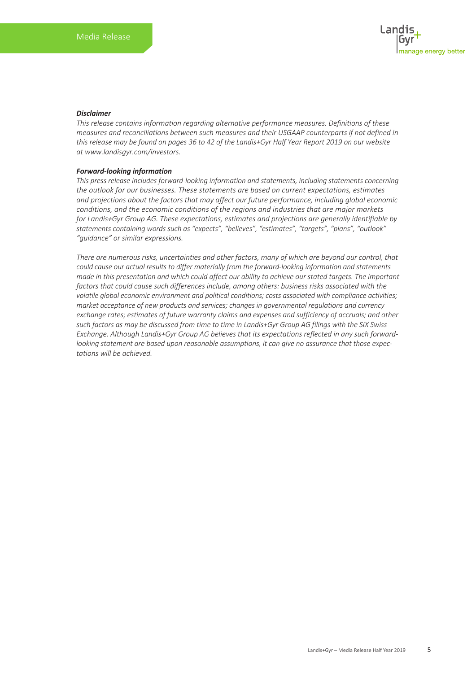#### *Disclaimer*

*This release contains information regarding alternative performance measures. Definitions of these measures and reconciliations between such measures and their USGAAP counterparts if not defined in this release may be found on pages 36 to 42 of the Landis+Gyr Half Year Report 2019 on our website at www.landisgyr.com/investors.*

#### *Forward-looking information*

*This press release includes forward-looking information and statements, including statements concerning the outlook for our businesses. These statements are based on current expectations, estimates and projections about the factors that may affect our future performance, including global economic conditions, and the economic conditions of the regions and industries that are major markets for Landis+Gyr Group AG. These expectations, estimates and projections are generally identifiable by statements containing words such as "expects", "believes", "estimates", "targets", "plans", "outlook" "guidance" or similar expressions.*

*There are numerous risks, uncertainties and other factors, many of which are beyond our control, that could cause our actual results to differ materially from the forward-looking information and statements made in this presentation and which could affect our ability to achieve our stated targets. The important factors that could cause such differences include, among others: business risks associated with the volatile global economic environment and political conditions; costs associated with compliance activities; market acceptance of new products and services; changes in governmental regulations and currency exchange rates; estimates of future warranty claims and expenses and sufficiency of accruals; and other such factors as may be discussed from time to time in Landis+Gyr Group AG filings with the SIX Swiss Exchange. Although Landis+Gyr Group AG believes that its expectations reflected in any such forwardlooking statement are based upon reasonable assumptions, it can give no assurance that those expectations will be achieved.*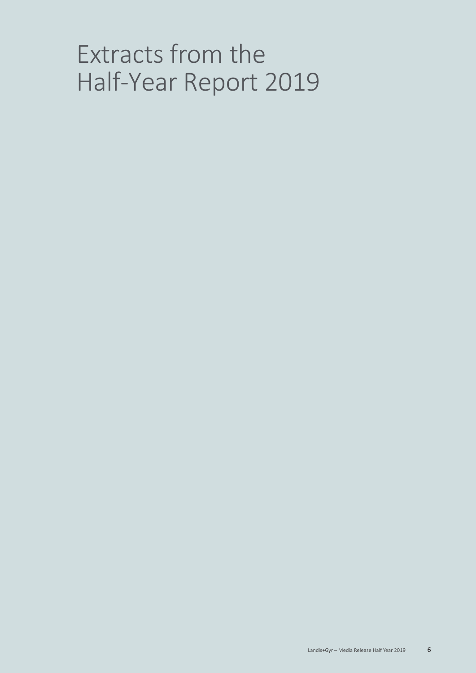# Extracts from the Half-Year Report 2019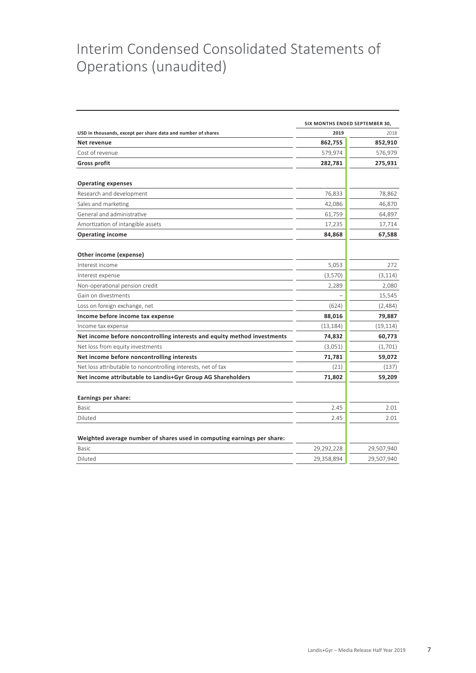### Interim Condensed Consolidated Statements of Operations (unaudited)

|                                                                          | SIX MONTHS ENDED SEPTEMBER 30, |            |  |  |
|--------------------------------------------------------------------------|--------------------------------|------------|--|--|
| USD in thousands, except per share data and number of shares             | 2019                           | 2018       |  |  |
| Net revenue                                                              | 862,755                        | 852,910    |  |  |
| Cost of revenue                                                          | 579,974                        | 576,979    |  |  |
| <b>Gross profit</b>                                                      | 282,781                        | 275,931    |  |  |
| <b>Operating expenses</b>                                                |                                |            |  |  |
| Research and development                                                 | 76,833                         | 78,862     |  |  |
| Sales and marketing                                                      | 42,086                         | 46,870     |  |  |
| General and administrative                                               | 61,759                         | 64,897     |  |  |
| Amortization of intangible assets                                        | 17,235                         | 17,714     |  |  |
| <b>Operating income</b>                                                  | 84,868                         | 67,588     |  |  |
| Other income (expense)                                                   |                                |            |  |  |
| Interest income                                                          | 5,053                          | 272        |  |  |
| Interest expense                                                         | (3,570)                        | (3, 114)   |  |  |
| Non-operational pension credit                                           | 2,289                          | 2,080      |  |  |
| Gain on divestments                                                      |                                | 15,545     |  |  |
| Loss on foreign exchange, net                                            | (624)                          | (2,484)    |  |  |
| Income before income tax expense                                         | 88,016                         | 79,887     |  |  |
| Income tax expense                                                       | (13, 184)                      | (19, 114)  |  |  |
| Net income before noncontrolling interests and equity method investments | 74,832                         | 60,773     |  |  |
| Net loss from equity investments                                         | (3,051)                        | (1,701)    |  |  |
| Net income before noncontrolling interests                               | 71,781                         | 59,072     |  |  |
| Net loss attributable to noncontrolling interests, net of tax            | (21)                           | (137)      |  |  |
| Net income attributable to Landis+Gyr Group AG Shareholders              | 71,802                         | 59,209     |  |  |
| Earnings per share:                                                      |                                |            |  |  |
| Basic                                                                    | 2.45                           | 2.01       |  |  |
| Diluted                                                                  | 2.45                           | 2.01       |  |  |
|                                                                          |                                |            |  |  |
| Weighted average number of shares used in computing earnings per share:  |                                |            |  |  |
| Basic                                                                    | 29,292,228                     | 29,507,940 |  |  |
| Diluted                                                                  | 29,358,894                     | 29,507,940 |  |  |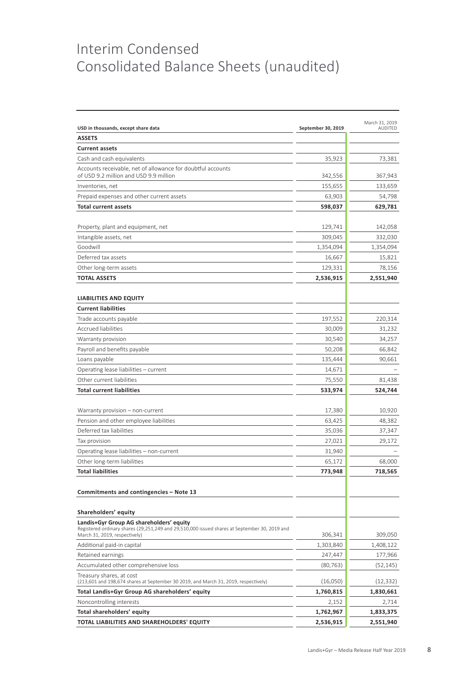### Interim Condensed Consolidated Balance Sheets (unaudited)

|                                                                                                                                |                    | March 31, 2019 |
|--------------------------------------------------------------------------------------------------------------------------------|--------------------|----------------|
| USD in thousands, except share data                                                                                            | September 30, 2019 | <b>AUDITED</b> |
| <b>ASSETS</b>                                                                                                                  |                    |                |
| <b>Current assets</b>                                                                                                          |                    |                |
| Cash and cash equivalents                                                                                                      | 35,923             | 73,381         |
| Accounts receivable, net of allowance for doubtful accounts<br>of USD 9.2 million and USD 9.9 million                          | 342,556            | 367,943        |
| Inventories, net                                                                                                               | 155,655            | 133,659        |
| Prepaid expenses and other current assets                                                                                      | 63,903             | 54,798         |
| <b>Total current assets</b>                                                                                                    | 598,037            | 629,781        |
|                                                                                                                                |                    |                |
| Property, plant and equipment, net                                                                                             | 129,741            | 142,058        |
| Intangible assets, net                                                                                                         | 309,045            | 332,030        |
| Goodwill                                                                                                                       | 1,354,094          | 1,354,094      |
| Deferred tax assets                                                                                                            | 16,667             | 15,821         |
| Other long-term assets                                                                                                         | 129,331            | 78,156         |
| <b>TOTAL ASSETS</b>                                                                                                            | 2,536,915          | 2,551,940      |
|                                                                                                                                |                    |                |
| <b>LIABILITIES AND EQUITY</b>                                                                                                  |                    |                |
| <b>Current liabilities</b>                                                                                                     |                    |                |
| Trade accounts payable                                                                                                         | 197,552            | 220,314        |
| <b>Accrued liabilities</b>                                                                                                     | 30,009             | 31,232         |
| Warranty provision                                                                                                             | 30,540             | 34,257         |
| Payroll and benefits payable                                                                                                   | 50,208             | 66,842         |
| Loans payable                                                                                                                  | 135,444            | 90,661         |
| Operating lease liabilities - current                                                                                          | 14,671             |                |
| Other current liabilities                                                                                                      | 75,550             | 81,438         |
| <b>Total current liabilities</b>                                                                                               | 533,974            | 524,744        |
|                                                                                                                                |                    |                |
| Warranty provision – non-current                                                                                               | 17,380             | 10,920         |
| Pension and other employee liabilities                                                                                         | 63,425             | 48,382         |
| Deferred tax liabilities                                                                                                       | 35,036             | 37,347         |
| Tax provision                                                                                                                  | 27,021             | 29,172         |
| Operating lease liabilities - non-current                                                                                      | 31,940             |                |
| Other long-term liabilities                                                                                                    | 65,172             | 68,000         |
| <b>Total liabilities</b>                                                                                                       | 773,948            | 718,565        |
|                                                                                                                                |                    |                |
| Commitments and contingencies - Note 13                                                                                        |                    |                |
| Shareholders' equity                                                                                                           |                    |                |
| Landis+Gyr Group AG shareholders' equity                                                                                       |                    |                |
| Registered ordinary shares (29,251,249 and 29,510,000 issued shares at September 30, 2019 and<br>March 31, 2019, respectively) | 306,341            | 309,050        |
| Additional paid-in capital                                                                                                     | 1,303,840          | 1,408,122      |
| Retained earnings                                                                                                              | 247,447            | 177,966        |
| Accumulated other comprehensive loss                                                                                           | (80, 763)          | (52, 145)      |
| Treasury shares, at cost<br>(213,601 and 198,674 shares at September 30 2019, and March 31, 2019, respectively)                | (16,050)           | (12, 332)      |
| Total Landis+Gyr Group AG shareholders' equity                                                                                 | 1,760,815          | 1,830,661      |
| Noncontrolling interests                                                                                                       | 2,152              | 2,714          |
| Total shareholders' equity                                                                                                     | 1,762,967          | 1,833,375      |
| TOTAL LIABILITIES AND SHAREHOLDERS' EQUITY                                                                                     | 2,536,915          | 2,551,940      |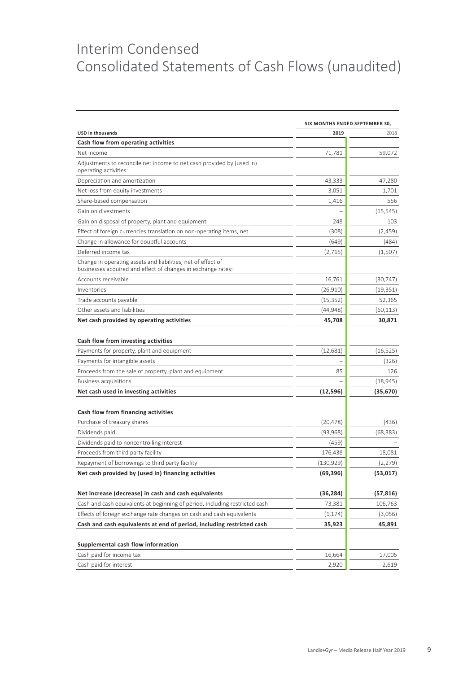## Interim Condensed Consolidated Statements of Cash Flows (unaudited)

|                                                                                                                              | SIX MONTHS ENDED SEPTEMBER 30, |           |  |
|------------------------------------------------------------------------------------------------------------------------------|--------------------------------|-----------|--|
| <b>USD in thousands</b>                                                                                                      | 2019                           | 2018      |  |
| Cash flow from operating activities                                                                                          |                                |           |  |
| Net income                                                                                                                   | 71,781                         | 59,072    |  |
| Adjustments to reconcile net income to net cash provided by (used in)<br>operating activities:                               |                                |           |  |
| Depreciation and amortization                                                                                                | 43,333                         | 47,280    |  |
| Net loss from equity investments                                                                                             | 3,051                          | 1,701     |  |
| Share-based compensation                                                                                                     | 1,416                          | 556       |  |
| Gain on divestments                                                                                                          |                                | (15, 545) |  |
| Gain on disposal of property, plant and equipment                                                                            | 248                            | 103       |  |
| Effect of foreign currencies translation on non-operating items, net                                                         | (308)                          | (2,459)   |  |
| Change in allowance for doubtful accounts                                                                                    | (649)                          | (484)     |  |
| Deferred income tax                                                                                                          | (2,715)                        | (1,507)   |  |
| Change in operating assets and liabilities, net of effect of<br>businesses acquired and effect of changes in exchange rates: |                                |           |  |
| Accounts receivable                                                                                                          | 16,761                         | (30, 747) |  |
| Inventories                                                                                                                  | (26, 910)                      | (19, 351) |  |
| Trade accounts payable                                                                                                       | (15, 352)                      | 52,365    |  |
| Other assets and liabilities                                                                                                 | (44, 948)                      | (60, 113) |  |
| Net cash provided by operating activities                                                                                    | 45,708                         | 30,871    |  |
| Cash flow from investing activities                                                                                          |                                |           |  |
| Payments for property, plant and equipment                                                                                   | (12, 681)                      | (16, 525) |  |
| Payments for intangible assets                                                                                               |                                | (326)     |  |
| Proceeds from the sale of property, plant and equipment                                                                      | 85                             | 126       |  |
| <b>Business acquisitions</b>                                                                                                 |                                | (18, 945) |  |
| Net cash used in investing activities                                                                                        | (12, 596)                      | (35, 670) |  |
| Cash flow from financing activities                                                                                          |                                |           |  |
| Purchase of treasury shares                                                                                                  | (20, 478)                      | (436)     |  |
| Dividends paid                                                                                                               | (93,968)                       | (68, 383) |  |
| Dividends paid to noncontrolling interest                                                                                    | (459)                          |           |  |
| Proceeds from third party facility                                                                                           | 176,438                        | 18,081    |  |
| Repayment of borrowings to third party facility                                                                              | (130, 929)                     | (2, 279)  |  |
| Net cash provided by (used in) financing activities                                                                          | (69, 396)                      | (53, 017) |  |
|                                                                                                                              |                                |           |  |
| Net increase (decrease) in cash and cash equivalents                                                                         | (36, 284)                      | (57, 816) |  |
| Cash and cash equivalents at beginning of period, including restricted cash                                                  | 73,381                         | 106,763   |  |
| Effects of foreign exchange rate changes on cash and cash equivalents                                                        | (1, 174)                       | (3,056)   |  |
| Cash and cash equivalents at end of period, including restricted cash                                                        | 35,923                         | 45,891    |  |
|                                                                                                                              |                                |           |  |
| Supplemental cash flow information<br>Cash paid for income tax                                                               |                                | 17,005    |  |
| Cash paid for interest                                                                                                       | 16,664<br>2,920                | 2,619     |  |
|                                                                                                                              |                                |           |  |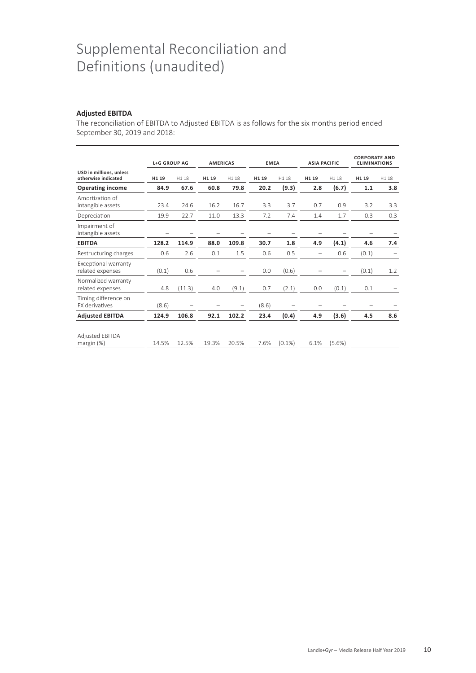### Supplemental Reconciliation and Definitions (unaudited)

### **Adjusted EBITDA**

The reconciliation of EBITDA to Adjusted EBITDA is as follows for the six months period ended September 30, 2019 and 2018:

|                                                | <b>L+G GROUP AG</b> |        | <b>AMERICAS</b> |       | <b>EMEA</b> |           | <b>ASIA PACIFIC</b>      |                   | <b>CORPORATE AND</b><br><b>ELIMINATIONS</b> |       |
|------------------------------------------------|---------------------|--------|-----------------|-------|-------------|-----------|--------------------------|-------------------|---------------------------------------------|-------|
| USD in millions, unless<br>otherwise indicated | H1 19               | H1 18  | H1 19           | H1 18 | H1 19       | H1 18     | H1 19                    | H1 18             | H1 19                                       | H1 18 |
| <b>Operating income</b>                        | 84.9                | 67.6   | 60.8            | 79.8  | 20.2        | (9.3)     | 2.8                      | (6.7)             | 1.1                                         | 3.8   |
| Amortization of<br>intangible assets           | 23.4                | 24.6   | 16.2            | 16.7  | 3.3         | 3.7       | 0.7                      | 0.9               | 3.2                                         | 3.3   |
| Depreciation                                   | 19.9                | 22.7   | 11.0            | 13.3  | 7.2         | 7.4       | 1.4                      | 1.7               | 0.3                                         | 0.3   |
| Impairment of<br>intangible assets             |                     |        |                 |       |             |           |                          |                   |                                             |       |
| <b>EBITDA</b>                                  | 128.2               | 114.9  | 88.0            | 109.8 | 30.7        | 1.8       | 4.9                      | (4.1)             | 4.6                                         | 7.4   |
| Restructuring charges                          | 0.6                 | 2.6    | 0.1             | 1.5   | 0.6         | 0.5       | $\overline{\phantom{0}}$ | 0.6               | (0.1)                                       |       |
| Exceptional warranty<br>related expenses       | (0.1)               | 0.6    |                 |       | 0.0         | (0.6)     |                          | $\qquad \qquad -$ | (0.1)                                       | 1.2   |
| Normalized warranty<br>related expenses        | 4.8                 | (11.3) | 4.0             | (9.1) | 0.7         | (2.1)     | 0.0                      | (0.1)             | 0.1                                         |       |
| Timing difference on<br><b>FX</b> derivatives  | (8.6)               |        |                 |       | (8.6)       |           |                          |                   |                                             |       |
| <b>Adjusted EBITDA</b>                         | 124.9               | 106.8  | 92.1            | 102.2 | 23.4        | (0.4)     | 4.9                      | (3.6)             | 4.5                                         | 8.6   |
| Adjusted EBITDA<br>margin (%)                  | 14.5%               | 12.5%  | 19.3%           | 20.5% | 7.6%        | $(0.1\%)$ | 6.1%                     | $(5.6\%)$         |                                             |       |